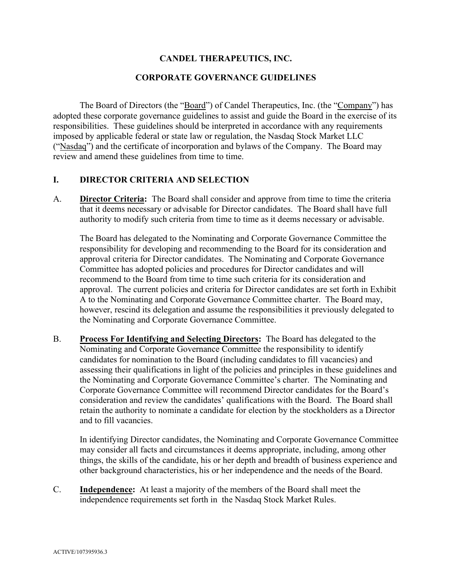### **CANDEL THERAPEUTICS, INC.**

#### **CORPORATE GOVERNANCE GUIDELINES**

The Board of Directors (the "Board") of Candel Therapeutics, Inc. (the "Company") has adopted these corporate governance guidelines to assist and guide the Board in the exercise of its responsibilities. These guidelines should be interpreted in accordance with any requirements imposed by applicable federal or state law or regulation, the Nasdaq Stock Market LLC ("Nasdaq") and the certificate of incorporation and bylaws of the Company. The Board may review and amend these guidelines from time to time.

#### **I. DIRECTOR CRITERIA AND SELECTION**

A. **Director Criteria:** The Board shall consider and approve from time to time the criteria that it deems necessary or advisable for Director candidates. The Board shall have full authority to modify such criteria from time to time as it deems necessary or advisable.

The Board has delegated to the Nominating and Corporate Governance Committee the responsibility for developing and recommending to the Board for its consideration and approval criteria for Director candidates. The Nominating and Corporate Governance Committee has adopted policies and procedures for Director candidates and will recommend to the Board from time to time such criteria for its consideration and approval. The current policies and criteria for Director candidates are set forth in Exhibit A to the Nominating and Corporate Governance Committee charter. The Board may, however, rescind its delegation and assume the responsibilities it previously delegated to the Nominating and Corporate Governance Committee.

B. **Process For Identifying and Selecting Directors:** The Board has delegated to the Nominating and Corporate Governance Committee the responsibility to identify candidates for nomination to the Board (including candidates to fill vacancies) and assessing their qualifications in light of the policies and principles in these guidelines and the Nominating and Corporate Governance Committee's charter. The Nominating and Corporate Governance Committee will recommend Director candidates for the Board's consideration and review the candidates' qualifications with the Board. The Board shall retain the authority to nominate a candidate for election by the stockholders as a Director and to fill vacancies.

In identifying Director candidates, the Nominating and Corporate Governance Committee may consider all facts and circumstances it deems appropriate, including, among other things, the skills of the candidate, his or her depth and breadth of business experience and other background characteristics, his or her independence and the needs of the Board.

C. **Independence:** At least a majority of the members of the Board shall meet the independence requirements set forth in the Nasdaq Stock Market Rules.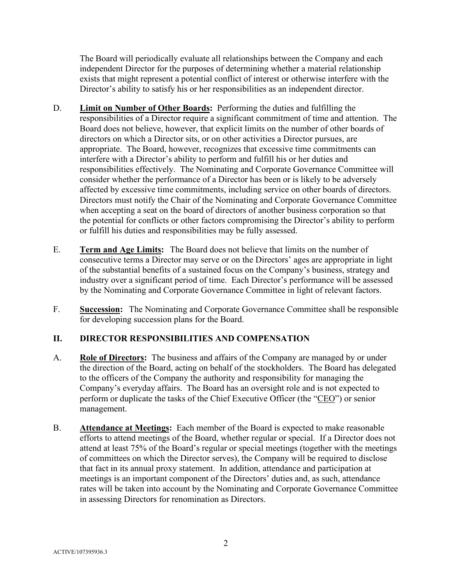The Board will periodically evaluate all relationships between the Company and each independent Director for the purposes of determining whether a material relationship exists that might represent a potential conflict of interest or otherwise interfere with the Director's ability to satisfy his or her responsibilities as an independent director.

- D. **Limit on Number of Other Boards:** Performing the duties and fulfilling the responsibilities of a Director require a significant commitment of time and attention. The Board does not believe, however, that explicit limits on the number of other boards of directors on which a Director sits, or on other activities a Director pursues, are appropriate. The Board, however, recognizes that excessive time commitments can interfere with a Director's ability to perform and fulfill his or her duties and responsibilities effectively. The Nominating and Corporate Governance Committee will consider whether the performance of a Director has been or is likely to be adversely affected by excessive time commitments, including service on other boards of directors. Directors must notify the Chair of the Nominating and Corporate Governance Committee when accepting a seat on the board of directors of another business corporation so that the potential for conflicts or other factors compromising the Director's ability to perform or fulfill his duties and responsibilities may be fully assessed.
- E. **Term and Age Limits:** The Board does not believe that limits on the number of consecutive terms a Director may serve or on the Directors' ages are appropriate in light of the substantial benefits of a sustained focus on the Company's business, strategy and industry over a significant period of time. Each Director's performance will be assessed by the Nominating and Corporate Governance Committee in light of relevant factors.
- F. **Succession:** The Nominating and Corporate Governance Committee shall be responsible for developing succession plans for the Board.

# **II. DIRECTOR RESPONSIBILITIES AND COMPENSATION**

- A. **Role of Directors:** The business and affairs of the Company are managed by or under the direction of the Board, acting on behalf of the stockholders. The Board has delegated to the officers of the Company the authority and responsibility for managing the Company's everyday affairs. The Board has an oversight role and is not expected to perform or duplicate the tasks of the Chief Executive Officer (the "CEO") or senior management.
- B. **Attendance at Meetings:** Each member of the Board is expected to make reasonable efforts to attend meetings of the Board, whether regular or special. If a Director does not attend at least 75% of the Board's regular or special meetings (together with the meetings of committees on which the Director serves), the Company will be required to disclose that fact in its annual proxy statement. In addition, attendance and participation at meetings is an important component of the Directors' duties and, as such, attendance rates will be taken into account by the Nominating and Corporate Governance Committee in assessing Directors for renomination as Directors.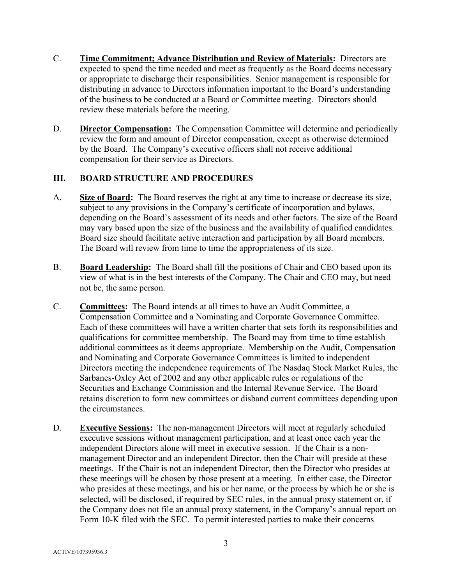- C. **Time Commitment; Advance Distribution and Review of Materials:** Directors are expected to spend the time needed and meet as frequently as the Board deems necessary or appropriate to discharge their responsibilities. Senior management is responsible for distributing in advance to Directors information important to the Board's understanding of the business to be conducted at a Board or Committee meeting. Directors should review these materials before the meeting.
- D. **Director Compensation:** The Compensation Committee will determine and periodically review the form and amount of Director compensation, except as otherwise determined by the Board. The Company's executive officers shall not receive additional compensation for their service as Directors.

### **III. BOARD STRUCTURE AND PROCEDURES**

- A. **Size of Board:** The Board reserves the right at any time to increase or decrease its size, subject to any provisions in the Company's certificate of incorporation and bylaws, depending on the Board's assessment of its needs and other factors. The size of the Board may vary based upon the size of the business and the availability of qualified candidates. Board size should facilitate active interaction and participation by all Board members. The Board will review from time to time the appropriateness of its size.
- B. **Board Leadership:** The Board shall fill the positions of Chair and CEO based upon its view of what is in the best interests of the Company. The Chair and CEO may, but need not be, the same person.
- C. **Committees:** The Board intends at all times to have an Audit Committee, a Compensation Committee and a Nominating and Corporate Governance Committee. Each of these committees will have a written charter that sets forth its responsibilities and qualifications for committee membership. The Board may from time to time establish additional committees as it deems appropriate. Membership on the Audit, Compensation and Nominating and Corporate Governance Committees is limited to independent Directors meeting the independence requirements of The Nasdaq Stock Market Rules, the Sarbanes-Oxley Act of 2002 and any other applicable rules or regulations of the Securities and Exchange Commission and the Internal Revenue Service. The Board retains discretion to form new committees or disband current committees depending upon the circumstances.
- D. **Executive Sessions:** The non-management Directors will meet at regularly scheduled executive sessions without management participation, and at least once each year the independent Directors alone will meet in executive session. If the Chair is a nonmanagement Director and an independent Director, then the Chair will preside at these meetings. If the Chair is not an independent Director, then the Director who presides at these meetings will be chosen by those present at a meeting. In either case, the Director who presides at these meetings, and his or her name, or the process by which he or she is selected, will be disclosed, if required by SEC rules, in the annual proxy statement or, if the Company does not file an annual proxy statement, in the Company's annual report on Form 10-K filed with the SEC. To permit interested parties to make their concerns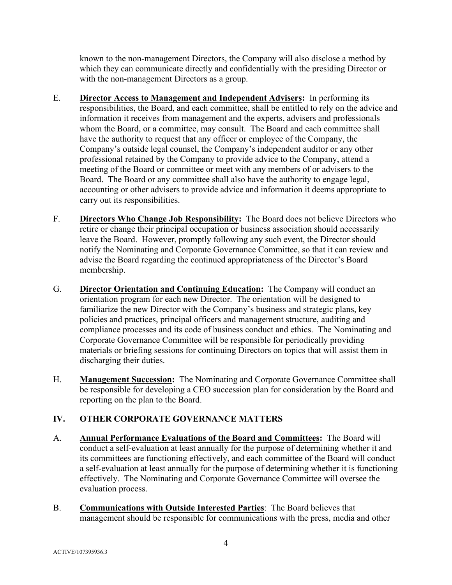known to the non-management Directors, the Company will also disclose a method by which they can communicate directly and confidentially with the presiding Director or with the non-management Directors as a group.

- E. **Director Access to Management and Independent Advisers:** In performing its responsibilities, the Board, and each committee, shall be entitled to rely on the advice and information it receives from management and the experts, advisers and professionals whom the Board, or a committee, may consult. The Board and each committee shall have the authority to request that any officer or employee of the Company, the Company's outside legal counsel, the Company's independent auditor or any other professional retained by the Company to provide advice to the Company, attend a meeting of the Board or committee or meet with any members of or advisers to the Board. The Board or any committee shall also have the authority to engage legal, accounting or other advisers to provide advice and information it deems appropriate to carry out its responsibilities.
- F. **Directors Who Change Job Responsibility:** The Board does not believe Directors who retire or change their principal occupation or business association should necessarily leave the Board. However, promptly following any such event, the Director should notify the Nominating and Corporate Governance Committee, so that it can review and advise the Board regarding the continued appropriateness of the Director's Board membership.
- G. **Director Orientation and Continuing Education:** The Company will conduct an orientation program for each new Director. The orientation will be designed to familiarize the new Director with the Company's business and strategic plans, key policies and practices, principal officers and management structure, auditing and compliance processes and its code of business conduct and ethics. The Nominating and Corporate Governance Committee will be responsible for periodically providing materials or briefing sessions for continuing Directors on topics that will assist them in discharging their duties.
- H. **Management Succession:** The Nominating and Corporate Governance Committee shall be responsible for developing a CEO succession plan for consideration by the Board and reporting on the plan to the Board.

# **IV. OTHER CORPORATE GOVERNANCE MATTERS**

- A. **Annual Performance Evaluations of the Board and Committees:** The Board will conduct a self-evaluation at least annually for the purpose of determining whether it and its committees are functioning effectively, and each committee of the Board will conduct a self-evaluation at least annually for the purpose of determining whether it is functioning effectively. The Nominating and Corporate Governance Committee will oversee the evaluation process.
- B. **Communications with Outside Interested Parties**: The Board believes that management should be responsible for communications with the press, media and other